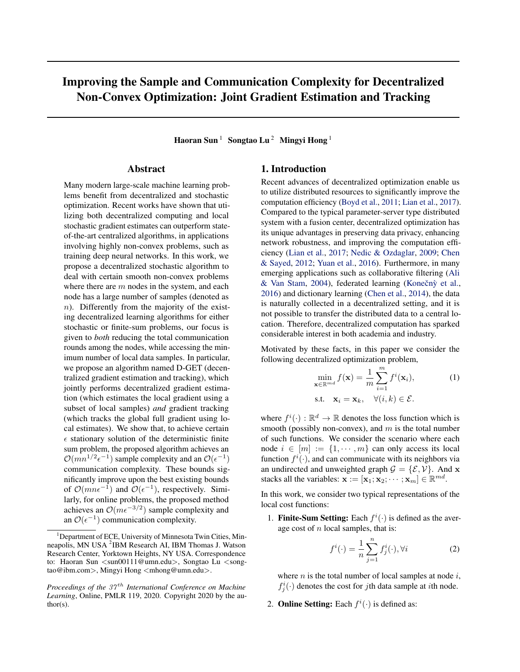# <span id="page-0-0"></span>Improving the Sample and Communication Complexity for Decentralized Non-Convex Optimization: Joint Gradient Estimation and Tracking

Haoran Sun<sup>1</sup> Songtao Lu<sup>2</sup> Mingyi Hong<sup>1</sup>

# Abstract

Many modern large-scale machine learning problems benefit from decentralized and stochastic optimization. Recent works have shown that utilizing both decentralized computing and local stochastic gradient estimates can outperform stateof-the-art centralized algorithms, in applications involving highly non-convex problems, such as training deep neural networks. In this work, we propose a decentralized stochastic algorithm to deal with certain smooth non-convex problems where there are *m* nodes in the system, and each node has a large number of samples (denoted as *n*). Differently from the majority of the existing decentralized learning algorithms for either stochastic or finite-sum problems, our focus is given to *both* reducing the total communication rounds among the nodes, while accessing the minimum number of local data samples. In particular, we propose an algorithm named D-GET (decentralized gradient estimation and tracking), which jointly performs decentralized gradient estimation (which estimates the local gradient using a subset of local samples) *and* gradient tracking (which tracks the global full gradient using local estimates). We show that, to achieve certain  $\epsilon$  stationary solution of the deterministic finite sum problem, the proposed algorithm achieves an  $\mathcal{O}(mn^{1/2}\epsilon^{-1})$  sample complexity and an  $\mathcal{O}(\epsilon^{-1})$ communication complexity. These bounds significantly improve upon the best existing bounds of  $\mathcal{O}(mn\epsilon^{-1})$  and  $\mathcal{O}(\epsilon^{-1})$ , respectively. Similarly, for online problems, the proposed method achieves an  $O(m\epsilon^{-3/2})$  sample complexity and an  $\mathcal{O}(\epsilon^{-1})$  communication complexity.

# 1. Introduction

Recent advances of decentralized optimization enable us to utilize distributed resources to significantly improve the computation efficiency [\(Boyd et al.,](#page-9-0) [2011;](#page-9-0) [Lian et al.,](#page-10-0) [2017\)](#page-10-0). Compared to the typical parameter-server type distributed system with a fusion center, decentralized optimization has its unique advantages in preserving data privacy, enhancing network robustness, and improving the computation efficiency [\(Lian et al.,](#page-10-0) [2017;](#page-10-0) [Nedic & Ozdaglar,](#page-10-0) [2009;](#page-10-0) [Chen](#page-9-0) [& Sayed,](#page-9-0) [2012;](#page-9-0) [Yuan et al.,](#page-10-0) [2016\)](#page-10-0). Furthermore, in many emerging applications such as collaborative filtering [\(Ali](#page-9-0)  $&$  Van Stam, [2004\)](#page-9-0), federated learning (Konečný et al., [2016\)](#page-9-0) and dictionary learning [\(Chen et al.,](#page-9-0) [2014\)](#page-9-0), the data is naturally collected in a decentralized setting, and it is not possible to transfer the distributed data to a central location. Therefore, decentralized computation has sparked considerable interest in both academia and industry.

Motivated by these facts, in this paper we consider the following decentralized optimization problem,

$$
\min_{\mathbf{x} \in \mathbb{R}^{md}} f(\mathbf{x}) = \frac{1}{m} \sum_{i=1}^{m} f^{i}(\mathbf{x}_{i}),
$$
\n
$$
\text{s.t.} \quad \mathbf{x}_{i} = \mathbf{x}_{k}, \quad \forall (i, k) \in \mathcal{E}.
$$
\n(1)

where  $f^i(\cdot) : \mathbb{R}^d \to \mathbb{R}$  denotes the loss function which is smooth (possibly non-convex), and *m* is the total number of such functions. We consider the scenario where each node  $i \in [m] := \{1, \dots, m\}$  can only access its local function  $f^i(\cdot)$ , and can communicate with its neighbors via an undirected and unweighted graph  $\mathcal{G} = \{\mathcal{E}, \mathcal{V}\}\$ . And **x** stacks all the variables:  $\mathbf{x} := [\mathbf{x}_1; \mathbf{x}_2; \cdots; \mathbf{x}_m] \in \mathbb{R}^{md}$ .

In this work, we consider two typical representations of the local cost functions:

1. **Finite-Sum Setting:** Each  $f^i(\cdot)$  is defined as the average cost of *n* local samples, that is:

$$
f^{i}(\cdot) = \frac{1}{n} \sum_{j=1}^{n} f_{j}^{i}(\cdot), \forall i
$$
 (2)

where *n* is the total number of local samples at node *i*,  $f_j^i(\cdot)$  denotes the cost for *j*th data sample at *i*th node.

2. **Online Setting:** Each  $f^i(\cdot)$  is defined as:

<sup>&</sup>lt;sup>1</sup>Department of ECE, University of Minnesota Twin Cities, Minneapolis, MN USA<sup>2</sup>IBM Research AI, IBM Thomas J. Watson Research Center, Yorktown Heights, NY USA. Correspondence to: Haoran Sun *<*sun00111@umn.edu*>*, Songtao Lu *<*songtao@ibm.com*>*, Mingyi Hong *<*mhong@umn.edu*>*.

*Proceedings of the 37 th International Conference on Machine Learning*, Online, PMLR 119, 2020. Copyright 2020 by the author(s).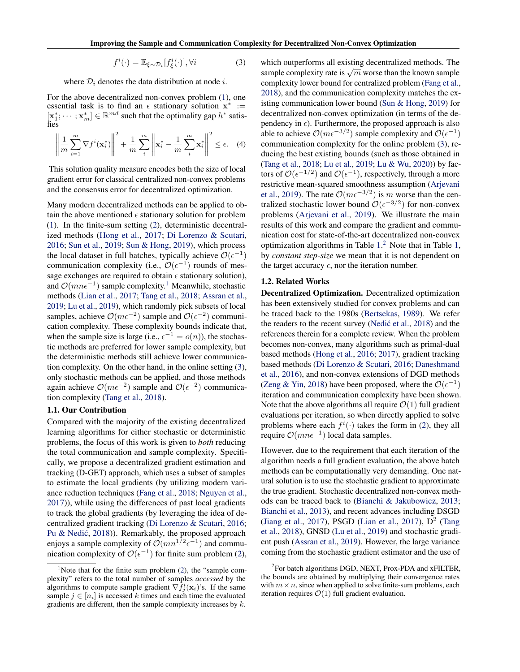$$
f^{i}(\cdot) = \mathbb{E}_{\xi \sim \mathcal{D}_{i}}[f_{\xi}^{i}(\cdot)], \forall i
$$
 (3)

<span id="page-1-0"></span>where  $D_i$  denotes the data distribution at node *i*.

For the above decentralized non-convex problem [\(1\)](#page-0-0), one essential task is to find an  $\epsilon$  stationary solution  $x^* :=$  $[\mathbf{x}_1^*; \dots; \mathbf{x}_m^*] \in \mathbb{R}^{md}$  such that the optimality gap  $h^*$  satisfies

$$
\left\| \frac{1}{m} \sum_{i=1}^{m} \nabla f^{i}(\mathbf{x}_{i}^{*}) \right\|^{2} + \frac{1}{m} \sum_{i}^{m} \left\| \mathbf{x}_{i}^{*} - \frac{1}{m} \sum_{i}^{m} \mathbf{x}_{i}^{*} \right\|^{2} \leq \epsilon.
$$
 (4)

This solution quality measure encodes both the size of local gradient error for classical centralized non-convex problems and the consensus error for decentralized optimization.

Many modern decentralized methods can be applied to obtain the above mentioned  $\epsilon$  stationary solution for problem [\(1\)](#page-0-0). In the finite-sum setting [\(2\)](#page-0-0), deterministic decentralized methods [\(Hong et al.,](#page-9-0) [2017;](#page-9-0) [Di Lorenzo & Scutari,](#page-9-0) [2016;](#page-9-0) [Sun et al.,](#page-10-0) [2019;](#page-10-0) [Sun & Hong,](#page-10-0) [2019\)](#page-10-0), which process the local dataset in full batches, typically achieve  $\mathcal{O}(\epsilon^{-1})$ communication complexity (i.e.,  $\mathcal{O}(\epsilon^{-1})$  rounds of message exchanges are required to obtain  $\epsilon$  stationary solution), and  $\mathcal{O}(mn\epsilon^{-1})$  sample complexity.<sup>1</sup> Meanwhile, stochastic methods [\(Lian et al.,](#page-10-0) [2017;](#page-10-0) [Tang et al.,](#page-10-0) [2018;](#page-10-0) [Assran et al.,](#page-9-0) [2019;](#page-9-0) [Lu et al.,](#page-10-0) [2019\)](#page-10-0), which randomly pick subsets of local samples, achieve  $\mathcal{O}(m\epsilon^{-2})$  sample and  $\mathcal{O}(\epsilon^{-2})$  communication complexity. These complexity bounds indicate that, when the sample size is large (i.e.,  $\epsilon^{-1} = o(n)$ ), the stochastic methods are preferred for lower sample complexity, but the deterministic methods still achieve lower communication complexity. On the other hand, in the online setting (3), only stochastic methods can be applied, and those methods again achieve  $O(m\epsilon^{-2})$  sample and  $O(\epsilon^{-2})$  communication complexity [\(Tang et al.,](#page-10-0) [2018\)](#page-10-0).

#### 1.1. Our Contribution

Compared with the majority of the existing decentralized learning algorithms for either stochastic or deterministic problems, the focus of this work is given to *both* reducing the total communication and sample complexity. Specifically, we propose a decentralized gradient estimation and tracking (D-GET) approach, which uses a subset of samples to estimate the local gradients (by utilizing modern variance reduction techniques [\(Fang et al.,](#page-9-0) [2018;](#page-9-0) [Nguyen et al.,](#page-10-0) [2017\)](#page-10-0)), while using the differences of past local gradients to track the global gradients (by leveraging the idea of decentralized gradient tracking [\(Di Lorenzo & Scutari,](#page-9-0) [2016;](#page-9-0) Pu & Nedić, [2018\)](#page-10-0)). Remarkably, the proposed approach enjoys a sample complexity of  $\mathcal{O}(mn^{1/2} \epsilon^{-1})$  and communication complexity of  $\mathcal{O}(\epsilon^{-1})$  for finite sum problem [\(2\)](#page-0-0), which outperforms all existing decentralized methods. The sample complexity rate is  $\sqrt{m}$  worse than the known sample complexity lower bound for centralized problem [\(Fang et al.,](#page-9-0) [2018\)](#page-9-0), and the communication complexity matches the existing communication lower bound [\(Sun & Hong,](#page-10-0) [2019\)](#page-10-0) for decentralized non-convex optimization (in terms of the dependency in  $\epsilon$ ). Furthermore, the proposed approach is also able to achieve  $O(m\epsilon^{-3/2})$  sample complexity and  $O(\epsilon^{-1})$ communication complexity for the online problem (3), reducing the best existing bounds (such as those obtained in [\(Tang et al.,](#page-10-0) [2018;](#page-10-0) [Lu et al.,](#page-10-0) [2019;](#page-10-0) [Lu & Wu,](#page-10-0) [2020\)](#page-10-0)) by factors of  $\mathcal{O}(\epsilon^{-1/2})$  and  $\mathcal{O}(\epsilon^{-1})$ , respectively, through a more restrictive mean-squared smoothness assumption [\(Arjevani](#page-9-0) [et al.,](#page-9-0) [2019\)](#page-9-0). The rate  $O(m\epsilon^{-3/2})$  is *m* worse than the centralized stochastic lower bound  $\mathcal{O}(\epsilon^{-3/2})$  for non-convex problems [\(Arjevani et al.,](#page-9-0) [2019\)](#page-9-0). We illustrate the main results of this work and compare the gradient and communication cost for state-of-the-art decentralized non-convex optimization algorithms in Table [1.](#page-2-0) <sup>2</sup> Note that in Table [1,](#page-2-0) by *constant step-size* we mean that it is not dependent on the target accuracy  $\epsilon$ , nor the iteration number.

#### 1.2. Related Works

Decentralized Optimization. Decentralized optimization has been extensively studied for convex problems and can be traced back to the 1980s [\(Bertsekas,](#page-9-0) [1989\)](#page-9-0). We refer the readers to the recent survey (Nedić et al.,  $2018$ ) and the references therein for a complete review. When the problem becomes non-convex, many algorithms such as primal-dual based methods [\(Hong et al.,](#page-9-0) [2016;](#page-9-0) [2017\)](#page-9-0), gradient tracking based methods [\(Di Lorenzo & Scutari,](#page-9-0) [2016;](#page-9-0) [Daneshmand](#page-9-0) [et al.,](#page-9-0) [2016\)](#page-9-0), and non-convex extensions of DGD methods [\(Zeng & Yin,](#page-10-0) [2018\)](#page-10-0) have been proposed, where the  $\mathcal{O}(\epsilon^{-1})$ iteration and communication complexity have been shown. Note that the above algorithms all require  $\mathcal{O}(1)$  full gradient evaluations per iteration, so when directly applied to solve problems where each  $f^i(\cdot)$  takes the form in [\(2\)](#page-0-0), they all require  $\mathcal{O}(mn\epsilon^{-1})$  local data samples.

However, due to the requirement that each iteration of the algorithm needs a full gradient evaluation, the above batch methods can be computationally very demanding. One natural solution is to use the stochastic gradient to approximate the true gradient. Stochastic decentralized non-convex methods can be traced back to [\(Bianchi & Jakubowicz,](#page-9-0) [2013;](#page-9-0) [Bianchi et al.,](#page-9-0) [2013\)](#page-9-0), and recent advances including DSGD [\(Jiang et al.,](#page-9-0) [2017\)](#page-10-0), PSGD [\(Lian et al.,](#page-10-0) 2017),  $D^2$  [\(Tang](#page-10-0) [et al.,](#page-10-0) [2018\)](#page-10-0), GNSD [\(Lu et al.,](#page-10-0) [2019\)](#page-10-0) and stochastic gradient push [\(Assran et al.,](#page-9-0) [2019\)](#page-9-0). However, the large variance coming from the stochastic gradient estimator and the use of

<sup>&</sup>lt;sup>1</sup>Note that for the finite sum problem  $(2)$ , the "sample complexity" refers to the total number of samples *accessed* by the algorithms to compute sample gradient  $\nabla f_j^i(\mathbf{x}_i)$ 's. If the same sample  $j \in [n_i]$  is accessed k times and each time the evaluated gradients are different, then the sample complexity increases by *k*.

<sup>&</sup>lt;sup>2</sup>For batch algorithms DGD, NEXT, Prox-PDA and xFILTER, the bounds are obtained by multiplying their convergence rates with  $m \times n$ , since when applied to solve finite-sum problems, each iteration requires  $\mathcal{O}(1)$  full gradient evaluation.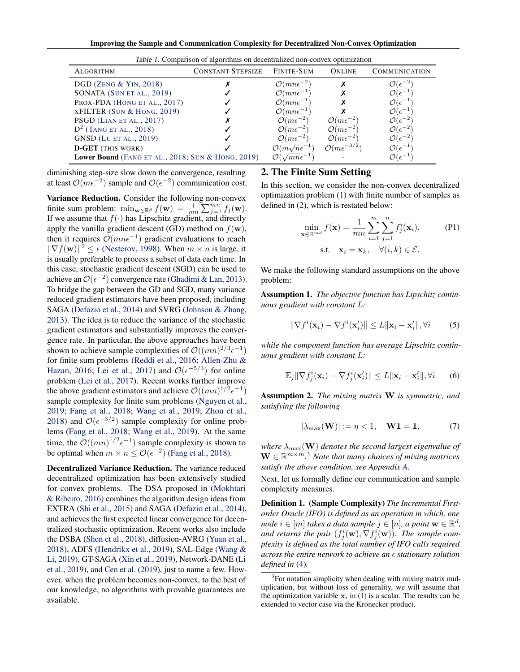Improving the Sample and Communication Complexity for Decentralized Non-Convex Optimization

<span id="page-2-0"></span>

| Table 1. Comparison of algorithms on decentralized non-convex optimization |                                  |                                       |                                 |                              |  |  |  |
|----------------------------------------------------------------------------|----------------------------------|---------------------------------------|---------------------------------|------------------------------|--|--|--|
| <b>ALGORITHM</b>                                                           | <b>CONSTANT STEPSIZE</b>         | FINITE-SUM                            | <b>ONLINE</b>                   | <b>COMMUNICATION</b>         |  |  |  |
| DGD (ZENG $&$ YIN, 2018)                                                   |                                  | $\mathcal{O}(m n \epsilon^{-2})$      |                                 | $\mathcal{O}(\epsilon^-$     |  |  |  |
| SONATA (SUN ET AL., 2019)                                                  |                                  | $\mathcal{O}(mn\epsilon^{-1})$        |                                 | $\mathcal{O}(\epsilon^{-1})$ |  |  |  |
| PROX-PDA (HONG ET AL., 2017)                                               |                                  | $\mathcal{O}(mn\epsilon^{-1})$        |                                 | $\mathcal{O}(\epsilon^{-1})$ |  |  |  |
| $XFILTER$ (Sun & Hong, 2019)                                               |                                  | $\mathcal{O}(mn\epsilon^{-1})$        |                                 | $\mathcal{O}(\epsilon^{-1})$ |  |  |  |
| PSGD (LIAN ET AL., 2017)                                                   |                                  | $\mathcal{O}(m\epsilon^{-2})$         | $\mathcal{O}(m\epsilon^{-2})$   | $\mathcal{O}(\epsilon^{-2})$ |  |  |  |
| $D^2$ (TANG ET AL., 2018)                                                  |                                  | $\mathcal{O}(m\epsilon^{-2})$         | $\mathcal{O}(m\epsilon^{-2})$   | $\mathcal{O}(\epsilon^{-2})$ |  |  |  |
| <b>GNSD</b> (LU ET AL., 2019)                                              |                                  | $\mathcal{O}(m\epsilon^{-2})$         | $\mathcal{O}(m\epsilon^{-2})$   | $\mathcal{O}(\epsilon^{-2})$ |  |  |  |
| <b>D-GET</b> (THIS WORK)                                                   |                                  | $\mathcal{O}(m\sqrt{n}\epsilon^{-1})$ | $\mathcal{O}(m\epsilon^{-3/2})$ | $\mathcal{O}(\epsilon^{-1})$ |  |  |  |
| Lower Bound (FANG ET AL., 2018; SUN $&$ HONG, 2019)                        | $\mathcal{O}(\sqrt{mn\epsilon})$ |                                       | $\mathcal{O}(\epsilon^{-}$      |                              |  |  |  |

diminishing step-size slow down the convergence, resulting at least  $O(m\epsilon^{-2})$  sample and  $O(\epsilon^{-2})$  communication cost.

Variance Reduction. Consider the following non-convex finite sum problem:  $\min_{\mathbf{w}\in\mathbb{R}^d} f(\mathbf{w}) = \frac{1}{mn} \sum_{j=1}^{mn} f_j(\mathbf{w}).$ If we assume that  $f(\cdot)$  has Lipschitz gradient, and directly apply the vanilla gradient descent (GD) method on  $f(\mathbf{w})$ , then it requires  $\mathcal{O}(m n \epsilon^{-1})$  gradient evaluations to reach  $\|\nabla f(\mathbf{w})\|^2 \leq \epsilon$  [\(Nesterov,](#page-10-0) [1998\)](#page-10-0). When  $m \times n$  is large, it is usually preferable to process a subset of data each time. In this case, stochastic gradient descent (SGD) can be used to achieve an  $\mathcal{O}(\epsilon^{-2})$  convergence rate [\(Ghadimi & Lan,](#page-9-0) [2013\)](#page-9-0). To bridge the gap between the GD and SGD, many variance reduced gradient estimators have been proposed, including SAGA [\(Defazio et al.,](#page-9-0) [2014\)](#page-9-0) and SVRG [\(Johnson & Zhang,](#page-9-0) [2013\)](#page-9-0). The idea is to reduce the variance of the stochastic gradient estimators and substantially improves the convergence rate. In particular, the above approaches have been shown to achieve sample complexities of  $\mathcal{O}((mn)^{2/3} \epsilon^{-1})$ for finite sum problems [\(Reddi et al.,](#page-10-0) [2016;](#page-10-0) [Allen-Zhu &](#page-9-0) [Hazan,](#page-9-0) [2016;](#page-9-0) [Lei et al.,](#page-10-0) [2017\)](#page-10-0) and  $\mathcal{O}(\epsilon^{-5/3})$  for online problem [\(Lei et al.,](#page-10-0) [2017\)](#page-10-0). Recent works further improve the above gradient estimators and achieve  $\mathcal{O}((mn)^{1/2}\epsilon^{-1})$ sample complexity for finite sum problems [\(Nguyen et al.,](#page-10-0) [2019;](#page-10-0) [Fang et al.,](#page-9-0) [2018;](#page-9-0) [Wang et al.,](#page-10-0) [2019;](#page-10-0) [Zhou et al.,](#page-11-0) [2018\)](#page-11-0) and  $\mathcal{O}(\epsilon^{-3/2})$  sample complexity for online problems [\(Fang et al.,](#page-9-0) [2018;](#page-9-0) [Wang et al.,](#page-10-0) [2019\)](#page-10-0). At the same time, the  $\mathcal{O}((mn)^{1/2} \epsilon^{-1})$  sample complexity is shown to be optimal when  $m \times n \leq \mathcal{O}(\epsilon^{-2})$  [\(Fang et al.,](#page-9-0) [2018\)](#page-9-0).

Decentralized Variance Reduction. The variance reduced decentralized optimization has been extensively studied for convex problems. The DSA proposed in [\(Mokhtari](#page-10-0) [& Ribeiro,](#page-10-0) [2016\)](#page-10-0) combines the algorithm design ideas from EXTRA [\(Shi et al.,](#page-10-0) [2015\)](#page-10-0) and SAGA [\(Defazio et al.,](#page-9-0) [2014\)](#page-9-0), and achieves the first expected linear convergence for decentralized stochastic optimization. Recent works also include the DSBA [\(Shen et al.,](#page-10-0) [2018\)](#page-10-0), diffusion-AVRG [\(Yuan et al.,](#page-10-0) [2018\)](#page-10-0), ADFS [\(Hendrikx et al.,](#page-9-0) [2019\)](#page-9-0), SAL-Edge [\(Wang &](#page-10-0) [Li,](#page-10-0) [2019\)](#page-10-0), GT-SAGA [\(Xin et al.,](#page-10-0) [2019\)](#page-10-0), Network-DANE [\(Li](#page-10-0) [et al.,](#page-10-0) [2019\)](#page-10-0), and [Cen et al.](#page-9-0) [\(2019\)](#page-9-0), just to name a few. However, when the problem becomes non-convex, to the best of our knowledge, no algorithms with provable guarantees are available.

# 2. The Finite Sum Setting

In this section, we consider the non-convex decentralized optimization problem [\(1\)](#page-0-0) with finite number of samples as defined in [\(2\)](#page-0-0), which is restated below:

$$
\min_{\mathbf{x} \in \mathbb{R}^{md}} f(\mathbf{x}) = \frac{1}{mn} \sum_{i=1}^{m} \sum_{j=1}^{n} f_j^i(\mathbf{x}_i),
$$
\ns.t.

\n
$$
\mathbf{x}_i = \mathbf{x}_k, \quad \forall (i, k) \in \mathcal{E}.
$$
\n(P1)

We make the following standard assumptions on the above problem:

Assumption 1. *The objective function has Lipschitz continuous gradient with constant L:*

$$
\|\nabla f^{i}(\mathbf{x}_{i}) - \nabla f^{i}(\mathbf{x}'_{i})\| \leq L \|\mathbf{x}_{i} - \mathbf{x}'_{i}\|, \forall i \qquad (5)
$$

*while the component function has average Lipschitz continuous gradient with constant L:*

$$
\mathbb{E}_j \|\nabla f_j^i(\mathbf{x}_i) - \nabla f_j^i(\mathbf{x}'_i)\| \le L \|\mathbf{x}_i - \mathbf{x}'_i\|, \forall i \qquad (6)
$$

Assumption 2. *The mixing matrix* W *is symmetric, and satisfying the following*

$$
|\lambda_{\max}(\mathbf{W})| := \eta < 1, \quad \mathbf{W}\mathbf{1} = \mathbf{1}, \tag{7}
$$

*where*  $\Delta_{\text{max}}(\mathbf{W})$  *denotes the second largest eigenvalue of*  $\mathbf{W} \in \mathbb{R}^{m \times m}$  <sup>3</sup> Note that many choices of mixing matrices  $\mathbf{W} \in \mathbb{R}^{m \times m}$ .<sup>3</sup> *Note that many choices of mixing matrices satisfy the above condition, see Appendix [A.](#page-0-0)*

Next, let us formally define our communication and sample complexity measures.

Definition 1. (Sample Complexity) *The Incremental Firstorder Oracle (IFO) is defined as an operation in which, one node*  $i \in [m]$  *takes a data sample*  $j \in [n]$ *, a point*  $\mathbf{w} \in \mathbb{R}^d$ *, and returns the pair*  $(f_j^i(\mathbf{w}), \nabla f_j^i(\mathbf{w}))$ *. The sample complexity is defined as the total number of IFO calls required across the entire network to achieve an* ✏ *stationary solution defined in* [\(4\)](#page-1-0)*.*

<sup>&</sup>lt;sup>3</sup>For notation simplicity when dealing with mixing matrix multiplication, but without loss of generality, we will assume that the optimization variable  $x_i$  in [\(1\)](#page-0-0) is a scalar. The results can be extended to vector case via the Kronecker product.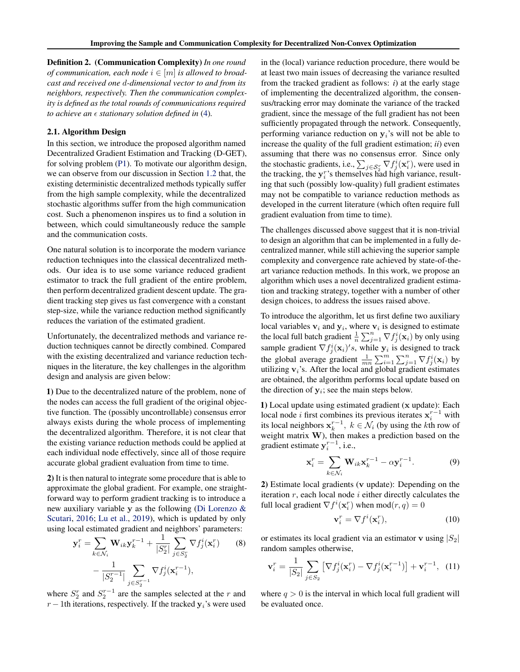<span id="page-3-0"></span>Definition 2. (Communication Complexity) *In one round of communication, each node*  $i \in [m]$  *is allowed to broadcast and received one d-dimensional vector to and from its neighbors, respectively. Then the communication complexity is defined as the total rounds of communications required to achieve an*  $\epsilon$  *stationary solution defined in*  $(4)$ *.* 

#### 2.1. Algorithm Design

In this section, we introduce the proposed algorithm named Decentralized Gradient Estimation and Tracking (D-GET), for solving problem [\(P1\)](#page-2-0). To motivate our algorithm design, we can observe from our discussion in Section [1.2](#page-1-0) that, the existing deterministic decentralized methods typically suffer from the high sample complexity, while the decentralized stochastic algorithms suffer from the high communication cost. Such a phenomenon inspires us to find a solution in between, which could simultaneously reduce the sample and the communication costs.

One natural solution is to incorporate the modern variance reduction techniques into the classical decentralized methods. Our idea is to use some variance reduced gradient estimator to track the full gradient of the entire problem, then perform decentralized gradient descent update. The gradient tracking step gives us fast convergence with a constant step-size, while the variance reduction method significantly reduces the variation of the estimated gradient.

Unfortunately, the decentralized methods and variance reduction techniques cannot be directly combined. Compared with the existing decentralized and variance reduction techniques in the literature, the key challenges in the algorithm design and analysis are given below:

1) Due to the decentralized nature of the problem, none of the nodes can access the full gradient of the original objective function. The (possibly uncontrollable) consensus error always exists during the whole process of implementing the decentralized algorithm. Therefore, it is not clear that the existing variance reduction methods could be applied at each individual node effectively, since all of those require accurate global gradient evaluation from time to time.

2) It is then natural to integrate some procedure that is able to approximate the global gradient. For example, one straightforward way to perform gradient tracking is to introduce a new auxiliary variable y as the following [\(Di Lorenzo &](#page-9-0) [Scutari,](#page-9-0) [2016;](#page-9-0) [Lu et al.,](#page-10-0) [2019\)](#page-10-0), which is updated by only using local estimated gradient and neighbors' parameters:

$$
\mathbf{y}_{i}^{r} = \sum_{k \in \mathcal{N}_{i}} \mathbf{W}_{ik} \mathbf{y}_{k}^{r-1} + \frac{1}{|S_{2}^{r}|} \sum_{j \in S_{2}^{r}} \nabla f_{j}^{i}(\mathbf{x}_{i}^{r})
$$
(8)  

$$
-\frac{1}{|S_{2}^{r-1}|} \sum_{j \in S_{2}^{r-1}} \nabla f_{j}^{i}(\mathbf{x}_{i}^{r-1}),
$$

where  $S_2^r$  and  $S_2^{r-1}$  are the samples selected at the *r* and  $r-1$ th iterations, respectively. If the tracked  $y_i$ 's were used in the (local) variance reduction procedure, there would be at least two main issues of decreasing the variance resulted from the tracked gradient as follows: *i*) at the early stage of implementing the decentralized algorithm, the consensus/tracking error may dominate the variance of the tracked gradient, since the message of the full gradient has not been sufficiently propagated through the network. Consequently, performing variance reduction on y*i*'s will not be able to increase the quality of the full gradient estimation; *ii*) even assuming that there was no consensus error. Since only the stochastic gradients, i.e.,  $\sum_{j \in S_2^r} \nabla f_j^i(\mathbf{x}_i^r)$ , were used in the tracking, the  $y_i^r$ 's themselves had high variance, resulting that such (possibly low-quality) full gradient estimates may not be compatible to variance reduction methods as developed in the current literature (which often require full gradient evaluation from time to time).

The challenges discussed above suggest that it is non-trivial to design an algorithm that can be implemented in a fully decentralized manner, while still achieving the superior sample complexity and convergence rate achieved by state-of-theart variance reduction methods. In this work, we propose an algorithm which uses a novel decentralized gradient estimation and tracking strategy, together with a number of other design choices, to address the issues raised above.

To introduce the algorithm, let us first define two auxiliary local variables  $v_i$  and  $y_i$ , where  $v_i$  is designed to estimate the local full batch gradient  $\frac{1}{n} \sum_{j=1}^{n} \nabla f_j^i(\mathbf{x}_i)$  by only using sample gradient  $\nabla f_j^i(\mathbf{x}_i)'s$ , while  $\mathbf{y}_i$  is designed to track the global average gradient  $\frac{1}{mn} \sum_{i=1}^{m} \sum_{j=1}^{n} \nabla f_j^i(\mathbf{x}_i)$  by utilizing v*i*'s. After the local and global gradient estimates are obtained, the algorithm performs local update based on the direction of  $y_i$ ; see the main steps below.

1) Local update using estimated gradient (x update): Each local node *i* first combines its previous iterates  $x_i^{r-1}$  with its local neighbors  $\mathbf{x}_k^{r-1}$ ,  $k \in \mathcal{N}_i$  (by using the *k*th row of weight matrix W), then makes a prediction based on the gradient estimate  $y_i^{r-1}$ , i.e.,

$$
\mathbf{x}_i^r = \sum_{k \in \mathcal{N}_i} \mathbf{W}_{ik} \mathbf{x}_k^{r-1} - \alpha \mathbf{y}_i^{r-1}.
$$
 (9)

2) Estimate local gradients (v update): Depending on the iteration *r*, each local node *i* either directly calculates the full local gradient  $\nabla f^i(\mathbf{x}_i^r)$  when  $mod(r, q) = 0$ 

$$
\mathbf{v}_i^r = \nabla f^i(\mathbf{x}_i^r),\tag{10}
$$

or estimates its local gradient via an estimator v using  $|S_2|$ random samples otherwise,

$$
\mathbf{v}_i^r = \frac{1}{|S_2|} \sum_{j \in S_2} \left[ \nabla f_j^i(\mathbf{x}_i^r) - \nabla f_j^i(\mathbf{x}_i^{r-1}) \right] + \mathbf{v}_i^{r-1}, \tag{11}
$$

where  $q > 0$  is the interval in which local full gradient will be evaluated once.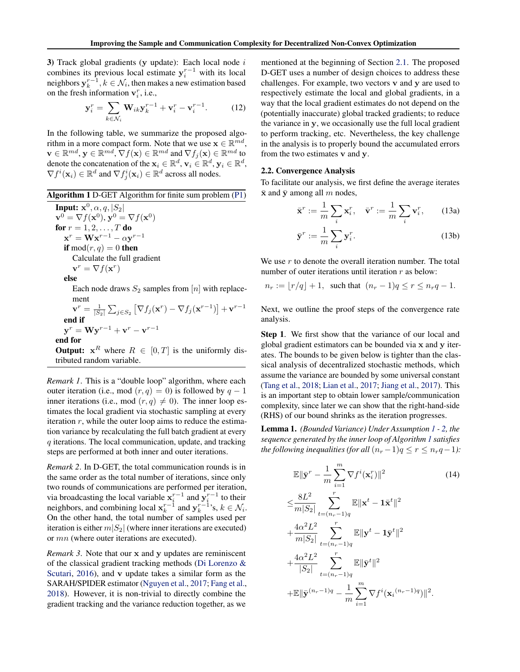<span id="page-4-0"></span>3) Track global gradients (y update): Each local node *i* combines its previous local estimate  $y_i^{r-1}$  with its local neighbors  $y_k^{r-1}, k \in \mathcal{N}_i$ , then makes a new estimation based on the fresh information  $v_i^r$ , i.e.,

$$
\mathbf{y}_i^r = \sum_{k \in \mathcal{N}_i} \mathbf{W}_{ik} \mathbf{y}_k^{r-1} + \mathbf{v}_i^r - \mathbf{v}_i^{r-1}.
$$
 (12)

In the following table, we summarize the proposed algorithm in a more compact form. Note that we use  $\mathbf{x} \in \mathbb{R}^{md}$ ,  $\mathbf{v} \in \mathbb{R}^{md}, \mathbf{y} \in \mathbb{R}^{md}, \nabla f(\mathbf{x}) \in \mathbb{R}^{md}$  and  $\nabla f_j(\mathbf{x}) \in \mathbb{R}^{md}$  to denote the concatenation of the  $\mathbf{x}_i \in \mathbb{R}^d$ ,  $\mathbf{v}_i \in \mathbb{R}^d$ ,  $\mathbf{y}_i \in \mathbb{R}^d$ ,  $\nabla f^i(\mathbf{x}_i) \in \mathbb{R}^d$  and  $\nabla f^i_j(\mathbf{x}_i) \in \mathbb{R}^d$  across all nodes.

#### Algorithm 1 D-GET Algorithm for finite sum problem [\(P1\)](#page-2-0)

 $\overline{\text{Input: } }$ **x**<sup>0</sup>,  $\alpha$ ,  $q$ ,  $|S_2|$  $\mathbf{v}^0 = \nabla f(\mathbf{x}^0), \mathbf{v}^0 = \nabla f(\mathbf{x}^0)$ for  $r = 1, 2, \ldots, T$  do  $\mathbf{x}^r = \mathbf{W} \mathbf{x}^{r-1} - \alpha \mathbf{y}^{r-1}$ if  $mod(r, q) = 0$  then Calculate the full gradient  ${\bf v}^r = \nabla f({\bf x}^r)$ else Each node draws  $S_2$  samples from  $[n]$  with replacement  $\mathbf{v}^r = \frac{1}{|S_2|} \sum_{j \in S_2} \left[ \nabla f_j(\mathbf{x}^r) - \nabla f_j(\mathbf{x}^{r-1}) \right] + \mathbf{v}^{r-1}$ end if

 $y^r = Wy^{r-1} + v^r - v^{r-1}$ end for **Output:**  $x^R$  where  $R \in [0, T]$  is the uniformly distributed random variable.

*Remark 1*. This is a "double loop" algorithm, where each outer iteration (i.e., mod  $(r, q) = 0$ ) is followed by  $q - 1$ inner iterations (i.e., mod  $(r, q) \neq 0$ ). The inner loop estimates the local gradient via stochastic sampling at every iteration *r*, while the outer loop aims to reduce the estimation variance by recalculating the full batch gradient at every *q* iterations. The local communication, update, and tracking steps are performed at both inner and outer iterations.

*Remark 2*. In D-GET, the total communication rounds is in the same order as the total number of iterations, since only two rounds of communications are performed per iteration, via broadcasting the local variable  $x_i^{r-1}$  and  $y_i^{r-1}$  to their neighbors, and combining local  $\mathbf{x}_k^{r-1}$  and  $\mathbf{y}_k^{r-1}$ 's,  $k \in \mathcal{N}_i$ . On the other hand, the total number of samples used per iteration is either  $m|S_2|$  (where inner iterations are executed) or *mn* (where outer iterations are executed).

*Remark 3.* Note that our x and y updates are reminiscent of the classical gradient tracking methods [\(Di Lorenzo &](#page-9-0) [Scutari,](#page-9-0) [2016\)](#page-9-0), and v update takes a similar form as the SARAH/SPIDER estimator [\(Nguyen et al.,](#page-10-0) [2017;](#page-10-0) [Fang et al.,](#page-9-0) [2018\)](#page-9-0). However, it is non-trivial to directly combine the gradient tracking and the variance reduction together, as we

mentioned at the beginning of Section [2.1.](#page-3-0) The proposed D-GET uses a number of design choices to address these challenges. For example, two vectors v and y are used to respectively estimate the local and global gradients, in a way that the local gradient estimates do not depend on the (potentially inaccurate) global tracked gradients; to reduce the variance in y, we occasionally use the full local gradient to perform tracking, etc. Nevertheless, the key challenge in the analysis is to properly bound the accumulated errors from the two estimates v and y.

#### 2.2. Convergence Analysis

To facilitate our analysis, we first define the average iterates  $\bar{x}$  and  $\bar{y}$  among all *m* nodes,

$$
\bar{\mathbf{x}}^r := \frac{1}{m} \sum_i \mathbf{x}_i^r, \quad \bar{\mathbf{v}}^r := \frac{1}{m} \sum_i \mathbf{v}_i^r, \qquad (13a)
$$

$$
\bar{\mathbf{y}}^r := \frac{1}{m} \sum_i \mathbf{y}_i^r. \tag{13b}
$$

We use *r* to denote the overall iteration number. The total number of outer iterations until iteration *r* as below:

$$
n_r := \lfloor r/q \rfloor + 1
$$
, such that  $(n_r - 1)q \le r \le n_r q - 1$ .

Next, we outline the proof steps of the convergence rate analysis.

Step 1. We first show that the variance of our local and global gradient estimators can be bounded via x and y iterates. The bounds to be given below is tighter than the classical analysis of decentralized stochastic methods, which assume the variance are bounded by some universal constant [\(Tang et al.,](#page-10-0) [2018;](#page-10-0) [Lian et al.,](#page-10-0) [2017;](#page-10-0) [Jiang et al.,](#page-9-0) [2017\)](#page-9-0). This is an important step to obtain lower sample/communication complexity, since later we can show that the right-hand-side (RHS) of our bound shrinks as the iteration progresses.

Lemma 1. *(Bounded Variance) Under Assumption [1](#page-2-0) - [2,](#page-2-0) the sequence generated by the inner loop of Algorithm 1 satisfies the following inequalities (for all*  $(n_r-1)q \leq r \leq n_rq-1$ ):

$$
\mathbb{E} \|\bar{\mathbf{y}}^{r} - \frac{1}{m} \sum_{i=1}^{m} \nabla f^{i}(\mathbf{x}_{i}^{r}) \|^{2}
$$
(14)  
\n
$$
\leq \frac{8L^{2}}{m|S_{2}|} \sum_{t=(n_{r}-1)q}^{r} \mathbb{E} \|\mathbf{x}^{t} - \mathbf{1}\bar{\mathbf{x}}^{t} \|^{2}
$$
  
\n
$$
+ \frac{4\alpha^{2}L^{2}}{m|S_{2}|} \sum_{t=(n_{r}-1)q}^{r} \mathbb{E} \|\mathbf{y}^{t} - \mathbf{1}\bar{\mathbf{y}}^{t} \|^{2}
$$
  
\n
$$
+ \frac{4\alpha^{2}L^{2}}{|S_{2}|} \sum_{t=(n_{r}-1)q}^{r} \mathbb{E} \|\bar{\mathbf{y}}^{t} \|^{2}
$$
  
\n
$$
+ \mathbb{E} \|\bar{\mathbf{y}}^{(n_{r}-1)q} - \frac{1}{m} \sum_{i=1}^{m} \nabla f^{i}(\mathbf{x}_{i}^{(n_{r}-1)q}) \|^{2}.
$$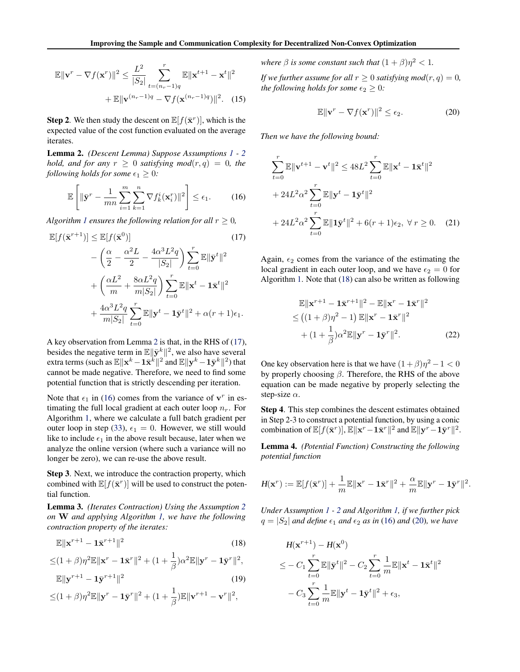<span id="page-5-0"></span>
$$
\mathbb{E} \|\mathbf{v}^r - \nabla f(\mathbf{x}^r)\|^2 \le \frac{L^2}{|S_2|} \sum_{t=(n_r-1)q}^r \mathbb{E} \|\mathbf{x}^{t+1} - \mathbf{x}^t\|^2
$$

$$
+ \mathbb{E} \|\mathbf{v}^{(n_r-1)q} - \nabla f(\mathbf{x}^{(n_r-1)q})\|^2. \quad (15)
$$

**Step 2.** We then study the descent on  $\mathbb{E}[f(\bar{\mathbf{x}}^r)]$ , which is the expected value of the cost function evaluated on the average iterates.

Lemma 2. *(Descent Lemma) Suppose Assumptions [1](#page-2-0) - [2](#page-2-0) hold, and for any*  $r \geq 0$  *satisfying mod* $(r, q) = 0$ *, the following holds for some*  $\epsilon_1 \geq 0$ *:* 

$$
\mathbb{E}\left[\|\bar{\mathbf{y}}^r - \frac{1}{mn}\sum_{i=1}^m \sum_{k=1}^n \nabla f_k^i(\mathbf{x}_i^r)\|^2\right] \le \epsilon_1. \tag{16}
$$

*Algorithm [1](#page-4-0) ensures the following relation for all*  $r \geq 0$ ,

$$
\mathbb{E}[f(\bar{\mathbf{x}}^{r+1})] \leq \mathbb{E}[f(\bar{\mathbf{x}}^0)] \qquad (17)
$$

$$
-\left(\frac{\alpha}{2} - \frac{\alpha^2 L}{2} - \frac{4\alpha^3 L^2 q}{|S_2|}\right) \sum_{t=0}^r \mathbb{E} \|\bar{\mathbf{y}}^t\|^2
$$

$$
+\left(\frac{\alpha L^2}{m} + \frac{8\alpha L^2 q}{m|S_2|}\right) \sum_{t=0}^r \mathbb{E} \|\mathbf{x}^t - \mathbf{1}\bar{\mathbf{x}}^t\|^2
$$

$$
+\frac{4\alpha^3 L^2 q}{m|S_2|} \sum_{t=0}^r \mathbb{E} \|\mathbf{y}^t - \mathbf{1}\bar{\mathbf{y}}^t\|^2 + \alpha(r+1)\epsilon_1.
$$

A key observation from Lemma 2 is that, in the RHS of (17), besides the negative term in  $\mathbb{E} \|\bar{\mathbf{y}}^k\|^2$ , we also have several extra terms (such as  $\mathbb{E} \|\mathbf{x}^k - \mathbf{1}\bar{\mathbf{x}}^k\|^2$  and  $\mathbb{E} \|\mathbf{y}^k - \mathbf{1}\bar{\mathbf{y}}^k\|^2$ ) that cannot be made negative. Therefore, we need to find some potential function that is strictly descending per iteration.

Note that  $\epsilon_1$  in (16) comes from the variance of  $v^r$  in estimating the full local gradient at each outer loop *nr*. For Algorithm [1,](#page-4-0) where we calculate a full batch gradient per outer loop in step [\(33\)](#page-0-0),  $\epsilon_1 = 0$ . However, we still would like to include  $\epsilon_1$  in the above result because, later when we analyze the online version (where such a variance will no longer be zero), we can re-use the above result.

Step 3. Next, we introduce the contraction property, which combined with  $\mathbb{E}[f(\bar{\mathbf{x}}^r)]$  will be used to construct the potential function.

Lemma 3. *(Iterates Contraction) Using the Assumption [2](#page-2-0) on* W *and applying Algorithm [1,](#page-4-0) we have the following contraction property of the iterates:*

$$
\mathbb{E}\|\mathbf{x}^{r+1} - \mathbf{1}\bar{\mathbf{x}}^{r+1}\|^2\tag{18}
$$

$$
\leq (1+\beta)\eta^2 \mathbb{E} \|\mathbf{x}^r - \mathbf{1}\bar{\mathbf{x}}^r\|^2 + (1+\frac{1}{\beta})\alpha^2 \mathbb{E} \|\mathbf{y}^r - \mathbf{1}\bar{\mathbf{y}}^r\|^2,
$$

$$
\mathbb{E}\|\mathbf{y}^{r+1} - \mathbf{1}\bar{\mathbf{y}}^{r+1}\|^2\tag{19}
$$

$$
\leq (1+\beta)\eta^2 \mathbb{E} \|\mathbf{y}^r - \mathbf{1}\bar{\mathbf{y}}^r\|^2 + (1+\frac{1}{\beta})\mathbb{E} \|\mathbf{v}^{r+1} - \mathbf{v}^r\|^2,
$$

*where*  $\beta$  *is some constant such that*  $(1 + \beta)\eta^2 < 1$ *.* 

*If we further assume for all*  $r \geq 0$  *satisfying mod* $(r, q) = 0$ *, the following holds for some*  $\epsilon_2 \geq 0$ *:* 

$$
\mathbb{E}\|\mathbf{v}^r - \nabla f(\mathbf{x}^r)\|^2 \le \epsilon_2. \tag{20}
$$

*Then we have the following bound:*

$$
\sum_{t=0}^{r} \mathbb{E} \|\mathbf{v}^{t+1} - \mathbf{v}^{t}\|^{2} \le 48L^{2} \sum_{t=0}^{r} \mathbb{E} \|\mathbf{x}^{t} - \mathbf{1}\bar{\mathbf{x}}^{t}\|^{2}
$$
  
+ 24L^{2} \alpha^{2} \sum\_{t=0}^{r} \mathbb{E} \|\mathbf{y}^{t} - \mathbf{1}\bar{\mathbf{y}}^{t}\|^{2}  
+ 24L^{2} \alpha^{2} \sum\_{t=0}^{r} \mathbb{E} \|\mathbf{1}\bar{\mathbf{y}}^{t}\|^{2} + 6(r+1)\epsilon\_{2}, \forall r \ge 0. (21)

Again,  $\epsilon_2$  comes from the variance of the estimating the local gradient in each outer loop, and we have  $\epsilon_2 = 0$  for Algorithm [1.](#page-4-0) Note that (18) can also be written as following

$$
\mathbb{E} \|\mathbf{x}^{r+1} - \mathbf{1}\bar{\mathbf{x}}^{r+1}\|^2 - \mathbb{E} \|\mathbf{x}^r - \mathbf{1}\bar{\mathbf{x}}^r\|^2
$$
  
\n
$$
\leq ((1+\beta)\eta^2 - 1) \mathbb{E} \|\mathbf{x}^r - \mathbf{1}\bar{\mathbf{x}}^r\|^2
$$
  
\n
$$
+ (1+\frac{1}{\beta})\alpha^2 \mathbb{E} \|\mathbf{y}^r - \mathbf{1}\bar{\mathbf{y}}^r\|^2.
$$
 (22)

One key observation here is that we have  $(1 + \beta)\eta^2 - 1 < 0$ by properly choosing  $\beta$ . Therefore, the RHS of the above equation can be made negative by properly selecting the step-size  $\alpha$ .

Step 4. This step combines the descent estimates obtained in Step 2-3 to construct a potential function, by using a conic combination of  $\mathbb{E}[f(\bar{\mathbf{x}}^r)|, \mathbb{E}||\mathbf{x}^r - \mathbf{1}\bar{\mathbf{x}}^r||^2$  and  $\mathbb{E}||\mathbf{y}^r - \mathbf{1}\bar{\mathbf{y}}^r||^2$ .

Lemma 4. *(Potential Function) Constructing the following potential function*

$$
H(\mathbf{x}^r) := \mathbb{E}[f(\bar{\mathbf{x}}^r)] + \frac{1}{m}\mathbb{E}\|\mathbf{x}^r - \mathbf{1}\bar{\mathbf{x}}^r\|^2 + \frac{\alpha}{m}\mathbb{E}\|\mathbf{y}^r - \mathbf{1}\bar{\mathbf{y}}^r\|^2.
$$

*Under Assumption [1](#page-2-0) - [2](#page-2-0) and Algorithm [1,](#page-4-0) if we further pick*  $q = |S_2|$  *and define*  $\epsilon_1$  *and*  $\epsilon_2$  *as in* (16) *and* (20)*, we have* 

$$
H(\mathbf{x}^{r+1}) - H(\mathbf{x}^0)
$$
  
\n
$$
\leq -C_1 \sum_{t=0}^r \mathbb{E} \|\bar{\mathbf{y}}^t\|^2 - C_2 \sum_{t=0}^r \frac{1}{m} \mathbb{E} \|\mathbf{x}^t - \mathbf{1}\bar{\mathbf{x}}^t\|^2
$$
  
\n
$$
-C_3 \sum_{t=0}^r \frac{1}{m} \mathbb{E} \|\mathbf{y}^t - \mathbf{1}\bar{\mathbf{y}}^t\|^2 + \epsilon_3,
$$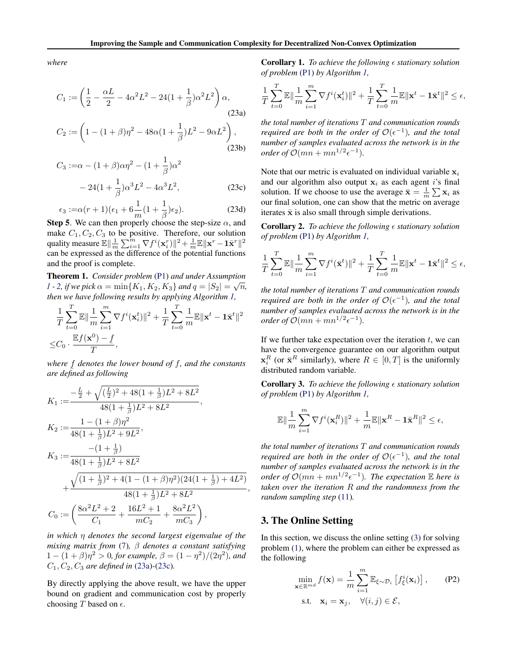(23b)

<span id="page-6-0"></span>*where*

$$
C_1 := \left(\frac{1}{2} - \frac{\alpha L}{2} - 4\alpha^2 L^2 - 24(1 + \frac{1}{\beta})\alpha^2 L^2\right)\alpha,
$$
\n(23a)\n
$$
C_2 := \left(1 - (1 + \beta)\eta^2 - 48\alpha(1 + \frac{1}{\beta})L^2 - 9\alpha L^2\right),
$$

$$
C_3 := \alpha - (1 + \beta)\alpha \eta^2 - (1 + \frac{1}{\beta})\alpha^2
$$

$$
- 24(1 + \frac{1}{\beta})\alpha^3 L^2 - 4\alpha^3 L^2,
$$
 (23c)

$$
\epsilon_3 := \alpha(r+1)(\epsilon_1 + 6\frac{1}{m}(1+\frac{1}{\beta})\epsilon_2). \tag{23d}
$$

Step 5. We can then properly choose the step-size  $\alpha$ , and make  $C_1, C_2, C_3$  to be positive. Therefore, our solution quality measure  $\mathbb{E}\|\frac{1}{m}\sum_{i=1}^m \nabla f^i(\mathbf{x}_i^r)\|^2 + \frac{1}{m}\mathbb{E}\|\mathbf{x}^r - \mathbf{1}\bar{\mathbf{x}}^r\|^2$ can be expressed as the difference of the potential functions and the proof is complete.

Theorem 1. *Consider problem* [\(P1\)](#page-2-0) *and under Assumption [1](#page-2-0)* - [2,](#page-2-0) *if we pick*  $\alpha = \min\{K_1, K_2, K_3\}$  *and*  $q = |S_2| = \sqrt{n}$ , *then we have following results by applying Algorithm [1,](#page-4-0)*

$$
\begin{aligned} &\frac{1}{T}\sum_{t=0}^T\mathbb{E}\|\frac{1}{m}\sum_{i=1}^m\nabla f^i(\mathbf{x}_i^t)\|^2+\frac{1}{T}\sum_{t=0}^T\frac{1}{m}\mathbb{E}\|\mathbf{x}^t-\mathbf{1}\bar{\mathbf{x}}^t\|^2\\ \leq &C_0\cdot\frac{\mathbb{E}f(\mathbf{x}^0)-f}{T}, \end{aligned}
$$

*where*  $\underline{f}$  *denotes the lower bound of*  $f$ *, and the constants*<br>*are defined as following are defined as following*

$$
K_1 := \frac{-\frac{L}{2} + \sqrt{(\frac{L}{2})^2 + 48(1 + \frac{1}{\beta})L^2 + 8L^2}}{48(1 + \frac{1}{\beta})L^2 + 8L^2},
$$
  
\n
$$
K_2 := \frac{1 - (1 + \beta)\eta^2}{48(1 + \frac{1}{\beta})L^2 + 9L^2},
$$
  
\n
$$
K_3 := \frac{-(1 + \frac{1}{\beta})}{48(1 + \frac{1}{\beta})L^2 + 8L^2}
$$
  
\n
$$
+ \frac{\sqrt{(1 + \frac{1}{\beta})^2 + 4(1 - (1 + \beta)\eta^2)(24(1 + \frac{1}{\beta}) + 4L^2)}}{48(1 + \frac{1}{\beta})L^2 + 8L^2},
$$
  
\n
$$
C_0 := \left(\frac{8\alpha^2 L^2 + 2}{C_1} + \frac{16L^2 + 1}{mC_2} + \frac{8\alpha^2 L^2}{mC_3}\right),
$$

*in which*  $\eta$  *denotes the second largest eigenvalue of the mixing matrix from* [\(7\)](#page-2-0)*, denotes a constant satisfying*  $1 - (1 + \beta)\eta^2 > 0$ , for example,  $\beta = (1 - \eta^2)/(2\eta^2)$ , and *C*1*, C*2*, C*<sup>3</sup> *are defined in* [\(23a\)](#page-4-0)*-*(23c)*.*

By directly applying the above result, we have the upper bound on gradient and communication cost by properly choosing *T* based on  $\epsilon$ .

**Corollary 1.** *To achieve the following*  $\epsilon$  *stationary solution of problem* [\(P1\)](#page-2-0) *by Algorithm [1,](#page-4-0)*

$$
\frac{1}{T}\sum_{t=0}^T \mathbb{E} \|\frac{1}{m}\sum_{i=1}^m \nabla f^i(\mathbf{x}_i^t)\|^2 + \frac{1}{T}\sum_{t=0}^T \frac{1}{m}\mathbb{E} \|\mathbf{x}^t - \mathbf{1}\bar{\mathbf{x}}^t\|^2 \le \epsilon,
$$

*the total number of iterations T and communication rounds required are both in the order of*  $\mathcal{O}(\epsilon^{-1})$ *, and the total number of samples evaluated across the network is in the order of*  $\mathcal{O}(mn + mn^{1/2} \epsilon^{-1})$ *.* 

Note that our metric is evaluated on individual variable x*<sup>i</sup>* and our algorithm also output x*<sup>i</sup>* as each agent *i*'s final solution. If we choose to use the average  $\bar{\mathbf{x}} = \frac{1}{m} \sum \mathbf{x}_i$  as our final solution, one can show that the metric on average iterates  $\bar{x}$  is also small through simple derivations.

**Corollary 2.** *To achieve the following*  $\epsilon$  *stationary solution of problem* [\(P1\)](#page-2-0) *by Algorithm [1,](#page-4-0)*

$$
\frac{1}{T}\sum_{t=0}^T\mathbb{E}\|\frac{1}{m}\sum_{i=1}^m\nabla f^i(\bar{\mathbf{x}}^t)\|^2 + \frac{1}{T}\sum_{t=0}^T\frac{1}{m}\mathbb{E}\|\mathbf{x}^t - \mathbf{1}\bar{\mathbf{x}}^t\|^2 \le \epsilon,
$$

*the total number of iterations T and communication rounds required are both in the order of*  $\mathcal{O}(\epsilon^{-1})$ *, and the total number of samples evaluated across the network is in the order of*  $\mathcal{O}(mn + mn^{1/2} \epsilon^{-1})$ *.* 

If we further take expectation over the iteration *t*, we can have the convergence guarantee on our algorithm output  $\mathbf{x}_i^R$  (or  $\bar{\mathbf{x}}^R$  similarly), where  $R \in [0, T]$  is the uniformly distributed random variable.

**Corollary 3.** *To achieve the following*  $\epsilon$  *stationary solution of problem* [\(P1\)](#page-2-0) *by Algorithm [1,](#page-4-0)*

$$
\mathbb{E}\|\frac{1}{m}\sum_{i=1}^m \nabla f^i(\mathbf{x}_i^R)\|^2 + \frac{1}{m}\mathbb{E}\|\mathbf{x}^R - \mathbf{1}\bar{\mathbf{x}}^R\|^2 \le \epsilon,
$$

*the total number of iterations T and communication rounds required are both in the order of*  $\mathcal{O}(\epsilon^{-1})$ *, and the total number of samples evaluated across the network is in the order of*  $\mathcal{O}(mn + mn^{1/2} \epsilon^{-1})$ *. The expectation*  $\mathbb E$  *here is taken over the iteration R and the randomness from the random sampling step* [\(11\)](#page-3-0)*.*

### 3. The Online Setting

In this section, we discuss the online setting [\(3\)](#page-1-0) for solving problem [\(1\)](#page-0-0), where the problem can either be expressed as the following

$$
\min_{\mathbf{x} \in \mathbb{R}^{md}} f(\mathbf{x}) = \frac{1}{m} \sum_{i=1}^{m} \mathbb{E}_{\xi \sim \mathcal{D}_i} \left[ f_{\xi}^i(\mathbf{x}_i) \right], \qquad (P2)
$$
  
s.t.  $\mathbf{x}_i = \mathbf{x}_j, \quad \forall (i, j) \in \mathcal{E},$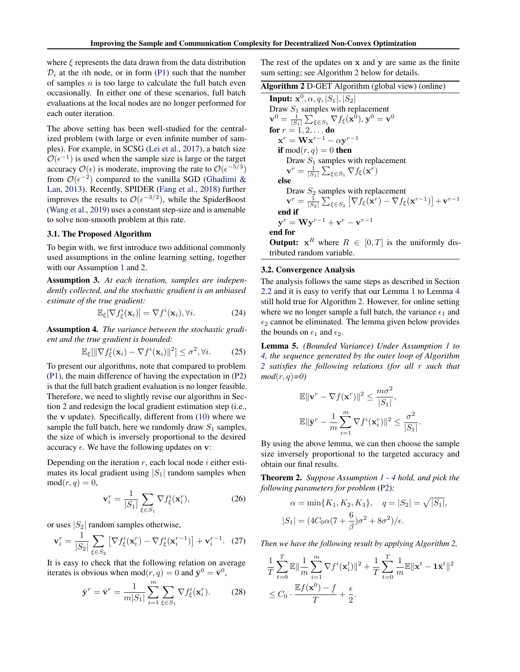<span id="page-7-0"></span>where  $\xi$  represents the data drawn from the data distribution  $\mathcal{D}_i$  at the *i*th node, or in form [\(P1\)](#page-2-0) such that the number of samples *n* is too large to calculate the full batch even occasionally. In either one of these scenarios, full batch evaluations at the local nodes are no longer performed for each outer iteration.

The above setting has been well-studied for the centralized problem (with large or even infinite number of samples). For example, in SCSG [\(Lei et al.,](#page-10-0) [2017\)](#page-10-0), a batch size  $\mathcal{O}(\epsilon^{-1})$  is used when the sample size is large or the target accuracy  $\mathcal{O}(\epsilon)$  is moderate, improving the rate to  $\mathcal{O}(\epsilon^{-5/3})$ from  $\mathcal{O}(\epsilon^{-2})$  compared to the vanilla SGD [\(Ghadimi &](#page-9-0) [Lan,](#page-9-0) [2013\)](#page-9-0). Recently, SPIDER [\(Fang et al.,](#page-9-0) [2018\)](#page-9-0) further improves the results to  $\mathcal{O}(\epsilon^{-3/2})$ , while the SpiderBoost [\(Wang et al.,](#page-10-0) [2019\)](#page-10-0) uses a constant step-size and is amenable to solve non-smooth problem at this rate.

#### 3.1. The Proposed Algorithm

To begin with, we first introduce two additional commonly used assumptions in the online learning setting, together with our Assumption [1](#page-2-0) and [2.](#page-2-0)

Assumption 3. *At each iteration, samples are independently collected, and the stochastic gradient is an unbiased estimate of the true gradient:*

$$
\mathbb{E}_{\xi}[\nabla f_{\xi}^{i}(\mathbf{x}_{i})] = \nabla f^{i}(\mathbf{x}_{i}), \forall i.
$$
 (24)

Assumption 4. *The variance between the stochastic gradient and the true gradient is bounded:*

$$
\mathbb{E}_{\xi}[\|\nabla f_{\xi}^{i}(\mathbf{x}_{i}) - \nabla f^{i}(\mathbf{x}_{i})\|^{2}] \leq \sigma^{2}, \forall i. \tag{25}
$$

To present our algorithms, note that compared to problem [\(P1\)](#page-2-0), the main difference of having the expectation in [\(P2\)](#page-6-0) is that the full batch gradient evaluation is no longer feasible. Therefore, we need to slightly revise our algorithm in Section [2](#page-2-0) and redesign the local gradient estimation step (i.e., the v update). Specifically, different from [\(10\)](#page-3-0) where we sample the full batch, here we randomly draw  $S_1$  samples, the size of which is inversely proportional to the desired accuracy  $\epsilon$ . We have the following updates on v:

Depending on the iteration *r*, each local node *i* either estimates its local gradient using  $|S_1|$  random samples when  $mod(r, q) = 0$ ,

$$
\mathbf{v}_i^r = \frac{1}{|S_1|} \sum_{\xi \in S_1} \nabla f_{\xi}^i(\mathbf{x}_i^r),\tag{26}
$$

or uses *|S*2*|* random samples otherwise,

$$
\mathbf{v}_i^r = \frac{1}{|S_2|} \sum_{\xi \in S_2} \left[ \nabla f_{\xi}^i(\mathbf{x}_i^r) - \nabla f_{\xi}^i(\mathbf{x}_i^{r-1}) \right] + \mathbf{v}_i^{r-1}.
$$
 (27)

It is easy to check that the following relation on average iterates is obvious when mod $(r, q) = 0$  and  $\bar{y}^0 = \bar{v}^0$ ,

$$
\bar{\mathbf{y}}^r = \bar{\mathbf{v}}^r = \frac{1}{m|S_1|} \sum_{i=1}^m \sum_{\xi \in S_1} \nabla f_{\xi}^i(\mathbf{x}_i^r). \tag{28}
$$

The rest of the updates on x and y are same as the finite sum setting; see Algorithm 2 below for details.

| Algorithm 2 D-GET Algorithm (global view) (online) |  |  |  |  |
|----------------------------------------------------|--|--|--|--|
|----------------------------------------------------|--|--|--|--|

Input: 
$$
\mathbf{x}^0
$$
,  $\alpha$ ,  $q$ ,  $|S_1|$ ,  $|S_2|$   
\nDraw  $S_1$  samples with replacement  
\n $\mathbf{v}^0 = \frac{1}{|S_1|} \sum_{\xi \in S_1} \nabla f_{\xi}(\mathbf{x}^0)$ ,  $\mathbf{y}^0 = \mathbf{v}^0$   
\nfor  $r = 1, 2, ...$  do  
\n $\mathbf{x}^r = \mathbf{W} \mathbf{x}^{r-1} - \alpha \mathbf{y}^{r-1}$   
\nif mod $(r, q) = 0$  then  
\nDraw  $S_1$  samples with replacement  
\n $\mathbf{v}^r = \frac{1}{|S_1|} \sum_{\xi \in S_1} \nabla f_{\xi}(\mathbf{x}^r)$   
\nelse  
\nDraw  $S_2$  samples with replacement  
\n $\mathbf{v}^r = \frac{1}{|S_2|} \sum_{\xi \in S_2} [\nabla f_{\xi}(\mathbf{x}^r) - \nabla f_{\xi}(\mathbf{x}^{r-1})] + \mathbf{v}^{r-1}$   
\nend if  
\n $\mathbf{y}^r = \mathbf{W} \mathbf{y}^{r-1} + \mathbf{v}^r - \mathbf{v}^{r-1}$   
\nend for  
\nOutput:  $\mathbf{x}^R$  where  $R \in [0, T]$  is the uniformly dis-

**Output:**  $x^R$  where  $R \in [0, T]$  is the uniformly distributed random variable.

#### 3.2. Convergence Analysis

The analysis follows the same steps as described in Section [2.2](#page-4-0) and it is easy to verify that our Lemma [1](#page-4-0) to Lemma [4](#page-5-0) still hold true for Algorithm 2. However, for online setting where we no longer sample a full batch, the variance  $\epsilon_1$  and  $\epsilon_2$  cannot be eliminated. The lemma given below provides the bounds on  $\epsilon_1$  and  $\epsilon_2$ .

Lemma 5. *(Bounded Variance) Under Assumption [1](#page-2-0) to 4, the sequence generated by the outer loop of Algorithm 2 satisfies the following relations (for all r such that mod*(*r, q*)*=0)*

$$
\mathbb{E} \|\mathbf{v}^r - \nabla f(\mathbf{x}^r)\|^2 \le \frac{m\sigma^2}{|S_1|},
$$
  

$$
\mathbb{E} \|\bar{\mathbf{y}}^r - \frac{1}{m} \sum_{i=1}^m \nabla f^i(\mathbf{x}_i^r)\|^2 \le \frac{\sigma^2}{|S_1|}
$$

*.*

By using the above lemma, we can then choose the sample size inversely proportional to the targeted accuracy and obtain our final results.

Theorem 2. *Suppose Assumption [1](#page-2-0) - 4 hold, and pick the following parameters for problem* [\(P2\)](#page-6-0)*:*

$$
\alpha = \min\{K_1, K_2, K_3\}, \quad q = |S_2| = \sqrt{|S_1|},
$$
  

$$
|S_1| = (4C_0\alpha(7 + \frac{6}{\beta})\sigma^2 + 8\sigma^2)/\epsilon.
$$

*Then we have the following result by applying Algorithm 2,*

$$
\frac{1}{T} \sum_{t=0}^T \mathbb{E} \|\frac{1}{m} \sum_{i=1}^m \nabla f^i(\mathbf{x}_i^t) \|^2 + \frac{1}{T} \sum_{t=0}^T \frac{1}{m} \mathbb{E} \|\mathbf{x}^t - \mathbf{1}\bar{\mathbf{x}}^t\|^2
$$
  
\n
$$
\leq C_0 \cdot \frac{\mathbb{E} f(\mathbf{x}^0) - f}{T} + \frac{\epsilon}{2}.
$$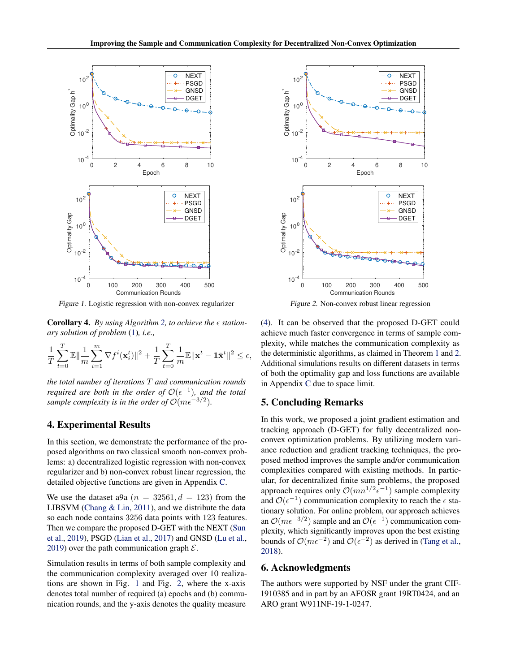

*Figure 1.* Logistic regression with non-convex regularizer

Corollary 4. By using Algorithm [2,](#page-7-0) to achieve the  $\epsilon$  station*ary solution of problem* [\(1\)](#page-0-0)*, i.e.,*

$$
\frac{1}{T}\sum_{t=0}^T\mathbb{E}\|\frac{1}{m}\sum_{i=1}^m \nabla f^i(\mathbf{x}_i^t)\|^2 + \frac{1}{T}\sum_{t=0}^T\frac{1}{m}\mathbb{E}\|\mathbf{x}^t - \mathbf{1}\bar{\mathbf{x}}^t\|^2 \le \epsilon,
$$

*the total number of iterations T and communication rounds required are both in the order of*  $O(\epsilon^{-1})$ *, and the total sample complexity is in the order of*  $O(m\epsilon^{-3/2})$ *.* 

# 4. Experimental Results

In this section, we demonstrate the performance of the proposed algorithms on two classical smooth non-convex problems: a) decentralized logistic regression with non-convex regularizer and b) non-convex robust linear regression, the detailed objective functions are given in Appendix [C.](#page-0-0)

We use the dataset a9a  $(n = 32561, d = 123)$  from the LIBSVM [\(Chang & Lin,](#page-9-0) [2011\)](#page-9-0), and we distribute the data so each node contains 3256 data points with 123 features. Then we compare the proposed D-GET with the NEXT [\(Sun](#page-10-0) [et al.,](#page-10-0) [2019\)](#page-10-0), PSGD [\(Lian et al.,](#page-10-0) [2017\)](#page-10-0) and GNSD [\(Lu et al.,](#page-10-0) [2019\)](#page-10-0) over the path communication graph *E*.

Simulation results in terms of both sample complexity and the communication complexity averaged over 10 realizations are shown in Fig. 1 and Fig. 2, where the x-axis denotes total number of required (a) epochs and (b) communication rounds, and the y-axis denotes the quality measure



*Figure 2.* Non-convex robust linear regression

[\(4\)](#page-1-0). It can be observed that the proposed D-GET could achieve much faster convergence in terms of sample complexity, while matches the communication complexity as the deterministic algorithms, as claimed in Theorem [1](#page-6-0) and [2.](#page-7-0) Additional simulations results on different datasets in terms of both the optimality gap and loss functions are available in Appendix [C](#page-0-0) due to space limit.

# 5. Concluding Remarks

In this work, we proposed a joint gradient estimation and tracking approach (D-GET) for fully decentralized nonconvex optimization problems. By utilizing modern variance reduction and gradient tracking techniques, the proposed method improves the sample and/or communication complexities compared with existing methods. In particular, for decentralized finite sum problems, the proposed approach requires only  $\mathcal{O}(mn^{1/2} \epsilon^{-1})$  sample complexity and  $\mathcal{O}(\epsilon^{-1})$  communication complexity to reach the  $\epsilon$  stationary solution. For online problem, our approach achieves an  $\mathcal{O}(m\epsilon^{-3/2})$  sample and an  $\mathcal{O}(\epsilon^{-1})$  communication complexity, which significantly improves upon the best existing bounds of  $\mathcal{O}(m\epsilon^{-2})$  and  $\mathcal{O}(\epsilon^{-2})$  as derived in [\(Tang et al.,](#page-10-0) [2018\)](#page-10-0).

# 6. Acknowledgments

The authors were supported by NSF under the grant CIF-1910385 and in part by an AFOSR grant 19RT0424, and an ARO grant W911NF-19-1-0247.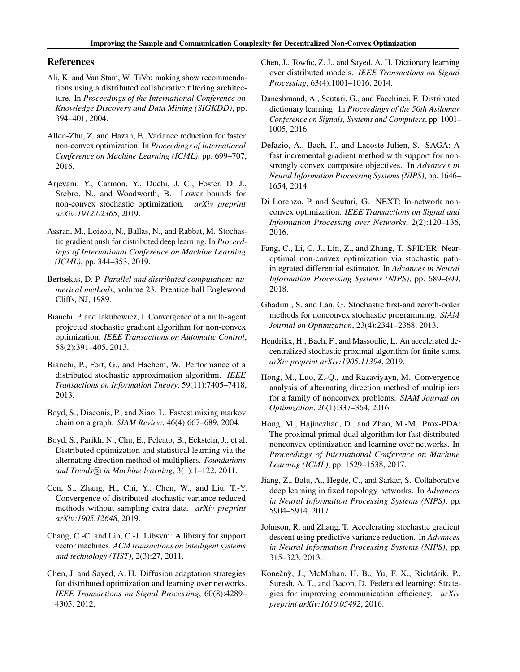# <span id="page-9-0"></span>References

- Ali, K. and Van Stam, W. TiVo: making show recommendations using a distributed collaborative filtering architecture. In *Proceedings of the International Conference on Knowledge Discovery and Data Mining (SIGKDD)*, pp. 394–401, 2004.
- Allen-Zhu, Z. and Hazan, E. Variance reduction for faster non-convex optimization. In *Proceedings of International Conference on Machine Learning (ICML)*, pp. 699–707, 2016.
- Arjevani, Y., Carmon, Y., Duchi, J. C., Foster, D. J., Srebro, N., and Woodworth, B. Lower bounds for non-convex stochastic optimization. *arXiv preprint arXiv:1912.02365*, 2019.
- Assran, M., Loizou, N., Ballas, N., and Rabbat, M. Stochastic gradient push for distributed deep learning. In *Proceedings of International Conference on Machine Learning (ICML)*, pp. 344–353, 2019.
- Bertsekas, D. P. *Parallel and distributed computation: numerical methods*, volume 23. Prentice hall Englewood Cliffs, NJ, 1989.
- Bianchi, P. and Jakubowicz, J. Convergence of a multi-agent projected stochastic gradient algorithm for non-convex optimization. *IEEE Transactions on Automatic Control*, 58(2):391–405, 2013.
- Bianchi, P., Fort, G., and Hachem, W. Performance of a distributed stochastic approximation algorithm. *IEEE Transactions on Information Theory*, 59(11):7405–7418, 2013.
- Boyd, S., Diaconis, P., and Xiao, L. Fastest mixing markov chain on a graph. *SIAM Review*, 46(4):667–689, 2004.
- Boyd, S., Parikh, N., Chu, E., Peleato, B., Eckstein, J., et al. Distributed optimization and statistical learning via the alternating direction method of multipliers. *Foundations* and Trends $(\overline{R})$  *in Machine learning*,  $3(1)$ : 1–122, 2011.
- Cen, S., Zhang, H., Chi, Y., Chen, W., and Liu, T.-Y. Convergence of distributed stochastic variance reduced methods without sampling extra data. *arXiv preprint arXiv:1905.12648*, 2019.
- Chang, C.-C. and Lin, C.-J. Libsvm: A library for support vector machines. *ACM transactions on intelligent systems and technology (TIST)*, 2(3):27, 2011.
- Chen, J. and Sayed, A. H. Diffusion adaptation strategies for distributed optimization and learning over networks. *IEEE Transactions on Signal Processing*, 60(8):4289– 4305, 2012.
- Chen, J., Towfic, Z. J., and Sayed, A. H. Dictionary learning over distributed models. *IEEE Transactions on Signal Processing*, 63(4):1001–1016, 2014.
- Daneshmand, A., Scutari, G., and Facchinei, F. Distributed dictionary learning. In *Proceedings of the 50th Asilomar Conference on Signals, Systems and Computers*, pp. 1001– 1005, 2016.
- Defazio, A., Bach, F., and Lacoste-Julien, S. SAGA: A fast incremental gradient method with support for nonstrongly convex composite objectives. In *Advances in Neural Information Processing Systems (NIPS)*, pp. 1646– 1654, 2014.
- Di Lorenzo, P. and Scutari, G. NEXT: In-network nonconvex optimization. *IEEE Transactions on Signal and Information Processing over Networks*, 2(2):120–136, 2016.
- Fang, C., Li, C. J., Lin, Z., and Zhang, T. SPIDER: Nearoptimal non-convex optimization via stochastic pathintegrated differential estimator. In *Advances in Neural Information Processing Systems (NIPS)*, pp. 689–699, 2018.
- Ghadimi, S. and Lan, G. Stochastic first-and zeroth-order methods for nonconvex stochastic programming. *SIAM Journal on Optimization*, 23(4):2341–2368, 2013.
- Hendrikx, H., Bach, F., and Massoulie, L. An accelerated decentralized stochastic proximal algorithm for finite sums. *arXiv preprint arXiv:1905.11394*, 2019.
- Hong, M., Luo, Z.-Q., and Razaviyayn, M. Convergence analysis of alternating direction method of multipliers for a family of nonconvex problems. *SIAM Journal on Optimization*, 26(1):337–364, 2016.
- Hong, M., Hajinezhad, D., and Zhao, M.-M. Prox-PDA: The proximal primal-dual algorithm for fast distributed nonconvex optimization and learning over networks. In *Proceedings of International Conference on Machine Learning (ICML)*, pp. 1529–1538, 2017.
- Jiang, Z., Balu, A., Hegde, C., and Sarkar, S. Collaborative deep learning in fixed topology networks. In *Advances in Neural Information Processing Systems (NIPS)*, pp. 5904–5914, 2017.
- Johnson, R. and Zhang, T. Accelerating stochastic gradient descent using predictive variance reduction. In *Advances in Neural Information Processing Systems (NIPS)*, pp. 315–323, 2013.
- Konečný, J., McMahan, H. B., Yu, F. X., Richtárik, P., Suresh, A. T., and Bacon, D. Federated learning: Strategies for improving communication efficiency. *arXiv preprint arXiv:1610.05492*, 2016.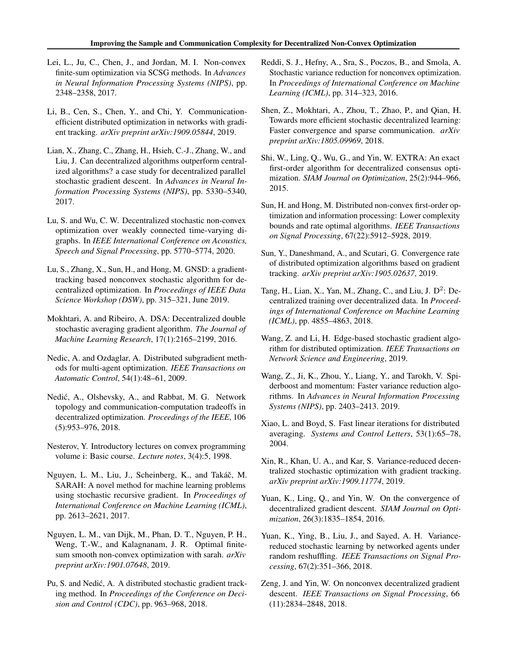- <span id="page-10-0"></span>Lei, L., Ju, C., Chen, J., and Jordan, M. I. Non-convex finite-sum optimization via SCSG methods. In *Advances in Neural Information Processing Systems (NIPS)*, pp. 2348–2358, 2017.
- Li, B., Cen, S., Chen, Y., and Chi, Y. Communicationefficient distributed optimization in networks with gradient tracking. *arXiv preprint arXiv:1909.05844*, 2019.
- Lian, X., Zhang, C., Zhang, H., Hsieh, C.-J., Zhang, W., and Liu, J. Can decentralized algorithms outperform centralized algorithms? a case study for decentralized parallel stochastic gradient descent. In *Advances in Neural Information Processing Systems (NIPS)*, pp. 5330–5340, 2017.
- Lu, S. and Wu, C. W. Decentralized stochastic non-convex optimization over weakly connected time-varying digraphs. In *IEEE International Conference on Acoustics, Speech and Signal Processing*, pp. 5770–5774, 2020.
- Lu, S., Zhang, X., Sun, H., and Hong, M. GNSD: a gradienttracking based nonconvex stochastic algorithm for decentralized optimization. In *Proceedings of IEEE Data Science Workshop (DSW)*, pp. 315–321, June 2019.
- Mokhtari, A. and Ribeiro, A. DSA: Decentralized double stochastic averaging gradient algorithm. *The Journal of Machine Learning Research*, 17(1):2165–2199, 2016.
- Nedic, A. and Ozdaglar, A. Distributed subgradient methods for multi-agent optimization. *IEEE Transactions on Automatic Control*, 54(1):48–61, 2009.
- Nedic, A., Olshevsky, A., and Rabbat, M. G. Network ´ topology and communication-computation tradeoffs in decentralized optimization. *Proceedings of the IEEE*, 106 (5):953–976, 2018.
- Nesterov, Y. Introductory lectures on convex programming volume i: Basic course. *Lecture notes*, 3(4):5, 1998.
- Nguyen, L. M., Liu, J., Scheinberg, K., and Takáč, M. SARAH: A novel method for machine learning problems using stochastic recursive gradient. In *Proceedings of International Conference on Machine Learning (ICML)*, pp. 2613–2621, 2017.
- Nguyen, L. M., van Dijk, M., Phan, D. T., Nguyen, P. H., Weng, T.-W., and Kalagnanam, J. R. Optimal finitesum smooth non-convex optimization with sarah. *arXiv preprint arXiv:1901.07648*, 2019.
- Pu, S. and Nedić, A. A distributed stochastic gradient tracking method. In *Proceedings of the Conference on Decision and Control (CDC)*, pp. 963–968, 2018.
- Reddi, S. J., Hefny, A., Sra, S., Poczos, B., and Smola, A. Stochastic variance reduction for nonconvex optimization. In *Proceedings of International Conference on Machine Learning (ICML)*, pp. 314–323, 2016.
- Shen, Z., Mokhtari, A., Zhou, T., Zhao, P., and Qian, H. Towards more efficient stochastic decentralized learning: Faster convergence and sparse communication. *arXiv preprint arXiv:1805.09969*, 2018.
- Shi, W., Ling, Q., Wu, G., and Yin, W. EXTRA: An exact first-order algorithm for decentralized consensus optimization. *SIAM Journal on Optimization*, 25(2):944–966, 2015.
- Sun, H. and Hong, M. Distributed non-convex first-order optimization and information processing: Lower complexity bounds and rate optimal algorithms. *IEEE Transactions on Signal Processing*, 67(22):5912–5928, 2019.
- Sun, Y., Daneshmand, A., and Scutari, G. Convergence rate of distributed optimization algorithms based on gradient tracking. *arXiv preprint arXiv:1905.02637*, 2019.
- Tang, H., Lian, X., Yan, M., Zhang, C., and Liu, J.  $D^2$ : Decentralized training over decentralized data. In *Proceedings of International Conference on Machine Learning (ICML)*, pp. 4855–4863, 2018.
- Wang, Z. and Li, H. Edge-based stochastic gradient algorithm for distributed optimization. *IEEE Transactions on Network Science and Engineering*, 2019.
- Wang, Z., Ji, K., Zhou, Y., Liang, Y., and Tarokh, V. Spiderboost and momentum: Faster variance reduction algorithms. In *Advances in Neural Information Processing Systems (NIPS)*, pp. 2403–2413. 2019.
- Xiao, L. and Boyd, S. Fast linear iterations for distributed averaging. *Systems and Control Letters*, 53(1):65–78, 2004.
- Xin, R., Khan, U. A., and Kar, S. Variance-reduced decentralized stochastic optimization with gradient tracking. *arXiv preprint arXiv:1909.11774*, 2019.
- Yuan, K., Ling, Q., and Yin, W. On the convergence of decentralized gradient descent. *SIAM Journal on Optimization*, 26(3):1835–1854, 2016.
- Yuan, K., Ying, B., Liu, J., and Sayed, A. H. Variancereduced stochastic learning by networked agents under random reshuffling. *IEEE Transactions on Signal Processing*, 67(2):351–366, 2018.
- Zeng, J. and Yin, W. On nonconvex decentralized gradient descent. *IEEE Transactions on Signal Processing*, 66 (11):2834–2848, 2018.